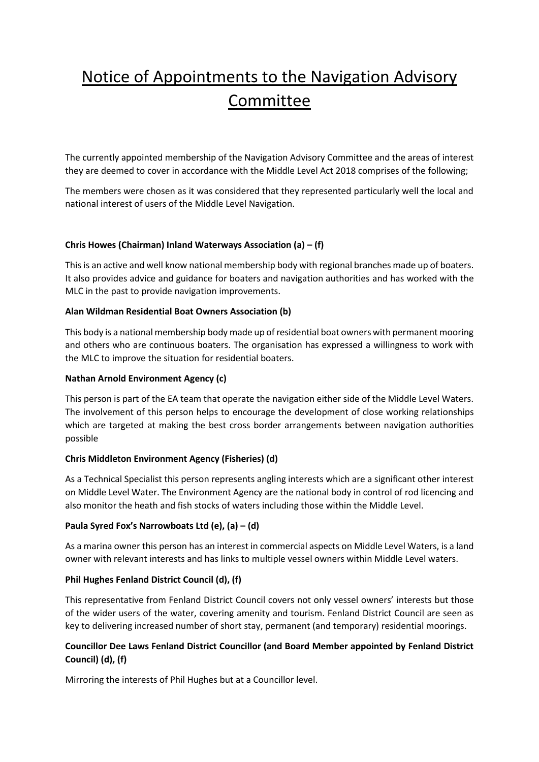# Notice of Appointments to the Navigation Advisory Committee

The currently appointed membership of the Navigation Advisory Committee and the areas of interest they are deemed to cover in accordance with the Middle Level Act 2018 comprises of the following;

The members were chosen as it was considered that they represented particularly well the local and national interest of users of the Middle Level Navigation.

## **Chris Howes (Chairman) Inland Waterways Association (a) – (f)**

This is an active and well know national membership body with regional branches made up of boaters. It also provides advice and guidance for boaters and navigation authorities and has worked with the MLC in the past to provide navigation improvements.

### **Alan Wildman Residential Boat Owners Association (b)**

This body is a national membership body made up of residential boat owners with permanent mooring and others who are continuous boaters. The organisation has expressed a willingness to work with the MLC to improve the situation for residential boaters.

## **Nathan Arnold Environment Agency (c)**

This person is part of the EA team that operate the navigation either side of the Middle Level Waters. The involvement of this person helps to encourage the development of close working relationships which are targeted at making the best cross border arrangements between navigation authorities possible

# **Chris Middleton Environment Agency (Fisheries) (d)**

As a Technical Specialist this person represents angling interests which are a significant other interest on Middle Level Water. The Environment Agency are the national body in control of rod licencing and also monitor the heath and fish stocks of waters including those within the Middle Level.

### **Paula Syred Fox's Narrowboats Ltd (e), (a) – (d)**

As a marina owner this person has an interest in commercial aspects on Middle Level Waters, is a land owner with relevant interests and has links to multiple vessel owners within Middle Level waters.

### **Phil Hughes Fenland District Council (d), (f)**

This representative from Fenland District Council covers not only vessel owners' interests but those of the wider users of the water, covering amenity and tourism. Fenland District Council are seen as key to delivering increased number of short stay, permanent (and temporary) residential moorings.

# **Councillor Dee Laws Fenland District Councillor (and Board Member appointed by Fenland District Council) (d), (f)**

Mirroring the interests of Phil Hughes but at a Councillor level.